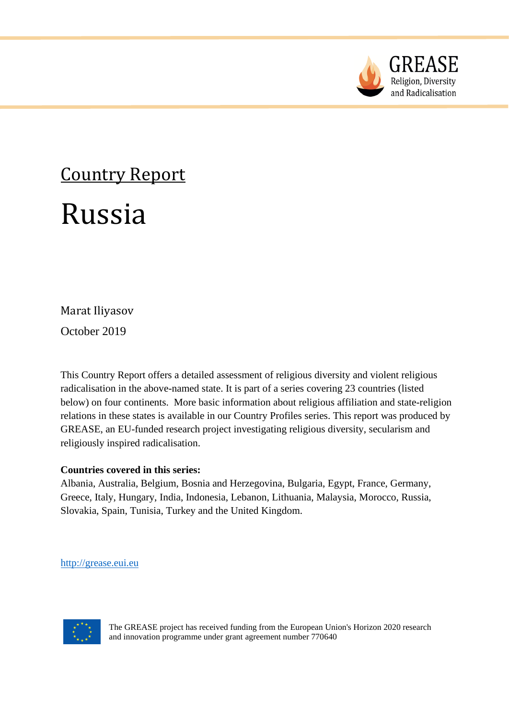

# Country Report

## Russia

### Marat Iliyasov

October 2019

This Country Report offers a detailed assessment of religious diversity and violent religious radicalisation in the above-named state. It is part of a series covering 23 countries (listed below) on four continents. More basic information about religious affiliation and state-religion relations in these states is available in our Country Profiles series. This report was produced by GREASE, an EU-funded research project investigating religious diversity, secularism and religiously inspired radicalisation.

#### **Countries covered in this series:**

Albania, Australia, Belgium, Bosnia and Herzegovina, Bulgaria, Egypt, France, Germany, Greece, Italy, Hungary, India, Indonesia, Lebanon, Lithuania, Malaysia, Morocco, Russia, Slovakia, Spain, Tunisia, Turkey and the United Kingdom.

[http://grease.eui.eu](http://grease.eui.eu/)



The GREASE project has received funding from the European Union's Horizon 2020 research and innovation programme under grant agreement number 770640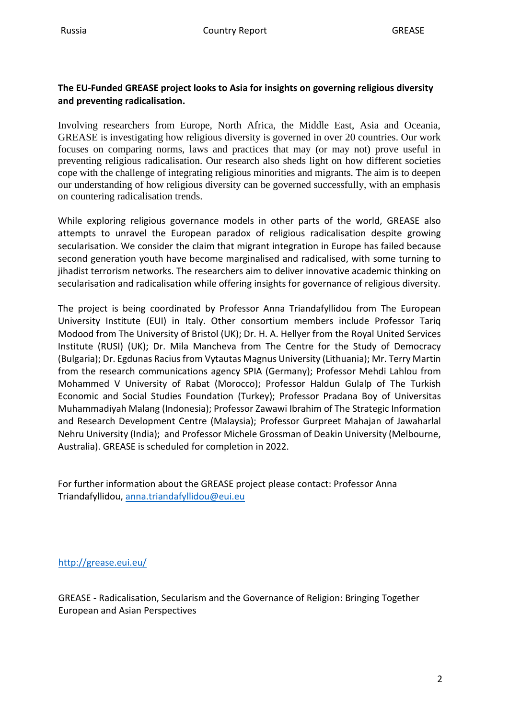#### **The EU-Funded GREASE project looks to Asia for insights on governing religious diversity and preventing radicalisation.**

Involving researchers from Europe, North Africa, the Middle East, Asia and Oceania, GREASE is investigating how religious diversity is governed in over 20 countries. Our work focuses on comparing norms, laws and practices that may (or may not) prove useful in preventing religious radicalisation. Our research also sheds light on how different societies cope with the challenge of integrating religious minorities and migrants. The aim is to deepen our understanding of how religious diversity can be governed successfully, with an emphasis on countering radicalisation trends.

While exploring religious governance models in other parts of the world, GREASE also attempts to unravel the European paradox of religious radicalisation despite growing secularisation. We consider the claim that migrant integration in Europe has failed because second generation youth have become marginalised and radicalised, with some turning to jihadist terrorism networks. The researchers aim to deliver innovative academic thinking on secularisation and radicalisation while offering insights for governance of religious diversity.

The project is being coordinated by Professor Anna Triandafyllidou from The European University Institute (EUI) in Italy. Other consortium members include Professor Tariq Modood from The University of Bristol (UK); Dr. H. A. Hellyer from the Royal United Services Institute (RUSI) (UK); Dr. Mila Mancheva from The Centre for the Study of Democracy (Bulgaria); Dr. Egdunas Raciusfrom Vytautas Magnus University (Lithuania); Mr. Terry Martin from the research communications agency SPIA (Germany); Professor Mehdi Lahlou from Mohammed V University of Rabat (Morocco); Professor Haldun Gulalp of The Turkish Economic and Social Studies Foundation (Turkey); Professor Pradana Boy of Universitas Muhammadiyah Malang (Indonesia); Professor Zawawi Ibrahim of The Strategic Information and Research Development Centre (Malaysia); Professor Gurpreet Mahajan of Jawaharlal Nehru University (India); and Professor Michele Grossman of Deakin University (Melbourne, Australia). GREASE is scheduled for completion in 2022.

For further information about the GREASE project please contact: Professor Anna Triandafyllidou, [anna.triandafyllidou@eui.eu](mailto:anna.triandafyllidou@eui.eu)

<http://grease.eui.eu/>

GREASE - Radicalisation, Secularism and the Governance of Religion: Bringing Together European and Asian Perspectives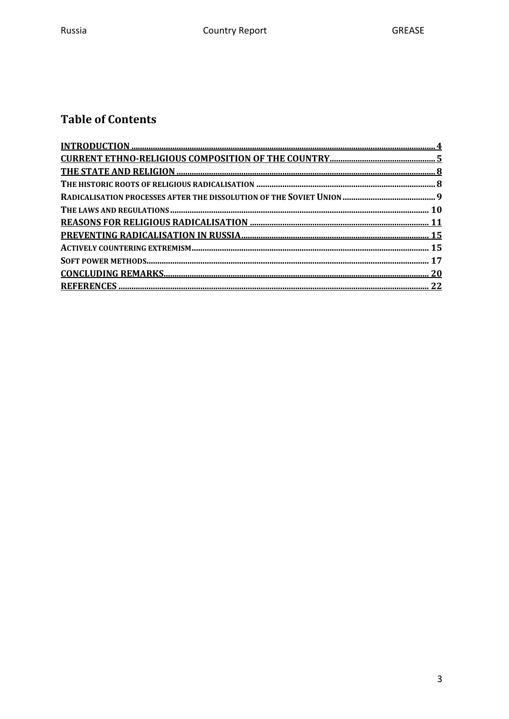#### **Table of Contents**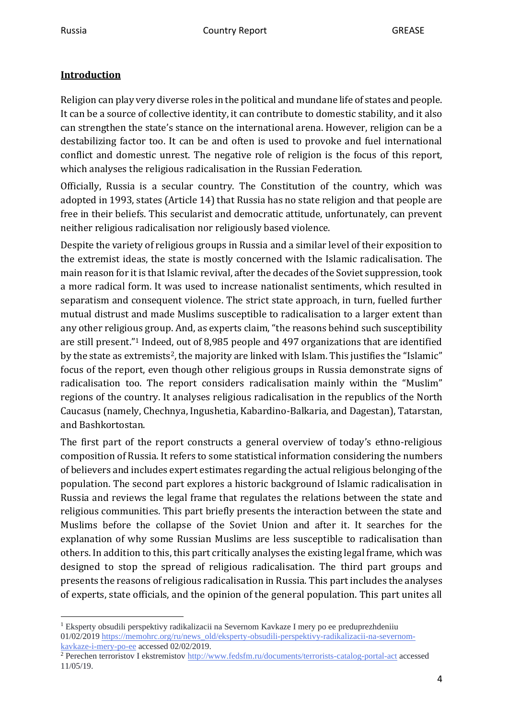#### <span id="page-3-0"></span>**Introduction**

Religion can play very diverse roles in the political and mundane life of states and people. It can be a source of collective identity, it can contribute to domestic stability, and it also can strengthen the state's stance on the international arena. However, religion can be a destabilizing factor too. It can be and often is used to provoke and fuel international conflict and domestic unrest. The negative role of religion is the focus of this report, which analyses the religious radicalisation in the Russian Federation.

Officially, Russia is a secular country. The Constitution of the country, which was adopted in 1993, states (Article 14) that Russia has no state religion and that people are free in their beliefs. This secularist and democratic attitude, unfortunately, can prevent neither religious radicalisation nor religiously based violence.

Despite the variety of religious groups in Russia and a similar level of their exposition to the extremist ideas, the state is mostly concerned with the Islamic radicalisation. The main reason for it is that Islamic revival, after the decades of the Soviet suppression, took a more radical form. It was used to increase nationalist sentiments, which resulted in separatism and consequent violence. The strict state approach, in turn, fuelled further mutual distrust and made Muslims susceptible to radicalisation to a larger extent than any other religious group. And, as experts claim, "the reasons behind such susceptibility are still present."<sup>1</sup> Indeed, out of 8,985 people and 497 organizations that are identified by the state as extremists<sup>2</sup>, the majority are linked with Islam. This justifies the "Islamic" focus of the report, even though other religious groups in Russia demonstrate signs of radicalisation too. The report considers radicalisation mainly within the "Muslim" regions of the country. It analyses religious radicalisation in the republics of the North Caucasus (namely, Chechnya, Ingushetia, Kabardino-Balkaria, and Dagestan), Tatarstan, and Bashkortostan.

The first part of the report constructs a general overview of today's ethno-religious composition of Russia. It refers to some statistical information considering the numbers of believers and includes expert estimates regarding the actual religious belonging of the population. The second part explores a historic background of Islamic radicalisation in Russia and reviews the legal frame that regulates the relations between the state and religious communities. This part briefly presents the interaction between the state and Muslims before the collapse of the Soviet Union and after it. It searches for the explanation of why some Russian Muslims are less susceptible to radicalisation than others. In addition to this, this part critically analyses the existing legal frame, which was designed to stop the spread of religious radicalisation. The third part groups and presents the reasons of religious radicalisation in Russia. This part includes the analyses of experts, state officials, and the opinion of the general population. This part unites all

<sup>1</sup> Eksperty obsudili perspektivy radikalizacii na Severnom Kavkaze I mery po ee preduprezhdeniiu 01/02/2019 [https://memohrc.org/ru/news\\_old/eksperty-obsudili-perspektivy-radikalizacii-na-severnom](https://memohrc.org/ru/news_old/eksperty-obsudili-perspektivy-radikalizacii-na-severnom-kavkaze-i-mery-po-ee)[kavkaze-i-mery-po-ee](https://memohrc.org/ru/news_old/eksperty-obsudili-perspektivy-radikalizacii-na-severnom-kavkaze-i-mery-po-ee) accessed 02/02/2019.

<sup>&</sup>lt;sup>2</sup> Perechen terroristov I ekstremistov <http://www.fedsfm.ru/documents/terrorists-catalog-portal-act> accessed 11/05/19.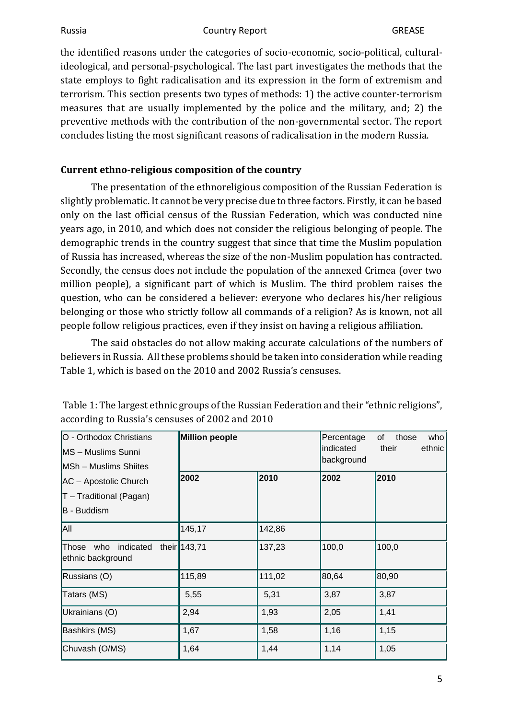the identified reasons under the categories of socio-economic, socio-political, culturalideological, and personal-psychological. The last part investigates the methods that the state employs to fight radicalisation and its expression in the form of extremism and terrorism. This section presents two types of methods: 1) the active counter-terrorism measures that are usually implemented by the police and the military, and; 2) the preventive methods with the contribution of the non-governmental sector. The report concludes listing the most significant reasons of radicalisation in the modern Russia.

#### <span id="page-4-0"></span>**Current ethno-religious composition of the country**

The presentation of the ethnoreligious composition of the Russian Federation is slightly problematic. It cannot be very precise due to three factors. Firstly, it can be based only on the last official census of the Russian Federation, which was conducted nine years ago, in 2010, and which does not consider the religious belonging of people. The demographic trends in the country suggest that since that time the Muslim population of Russia has increased, whereas the size of the non-Muslim population has contracted. Secondly, the census does not include the population of the annexed Crimea (over two million people), a significant part of which is Muslim. The third problem raises the question, who can be considered a believer: everyone who declares his/her religious belonging or those who strictly follow all commands of a religion? As is known, not all people follow religious practices, even if they insist on having a religious affiliation.

The said obstacles do not allow making accurate calculations of the numbers of believers in Russia. All these problems should be taken into consideration while reading Table 1, which is based on the 2010 and 2002 Russia's censuses.

| O - Orthodox Christians<br>MS - Muslims Sunni         | <b>Million people</b> |        | Percentage<br>lindicated<br>background | those<br>who<br>0f<br>their<br>ethnic |
|-------------------------------------------------------|-----------------------|--------|----------------------------------------|---------------------------------------|
| MSh - Muslims Shiites                                 | 2002                  | 2010   | 2002                                   | 2010                                  |
| AC - Apostolic Church<br>T - Traditional (Pagan)      |                       |        |                                        |                                       |
| B - Buddism                                           |                       |        |                                        |                                       |
| All                                                   | 145,17                | 142,86 |                                        |                                       |
| Those who indicated their 143,71<br>ethnic background |                       | 137,23 | 100,0                                  | 100,0                                 |
| Russians (O)                                          | 115,89                | 111,02 | 80,64                                  | 80,90                                 |
| Tatars (MS)                                           | 5,55                  | 5,31   | 3,87                                   | 3,87                                  |
| Ukrainians (O)                                        | 2,94                  | 1,93   | 2,05                                   | 1,41                                  |
| Bashkirs (MS)                                         | 1,67                  | 1,58   | 1,16                                   | 1,15                                  |
| Chuvash (O/MS)                                        | 1,64                  | 1,44   | 1,14                                   | 1,05                                  |

Table 1: The largest ethnic groups of the Russian Federation and their "ethnic religions", according to Russia's censuses of 2002 and 2010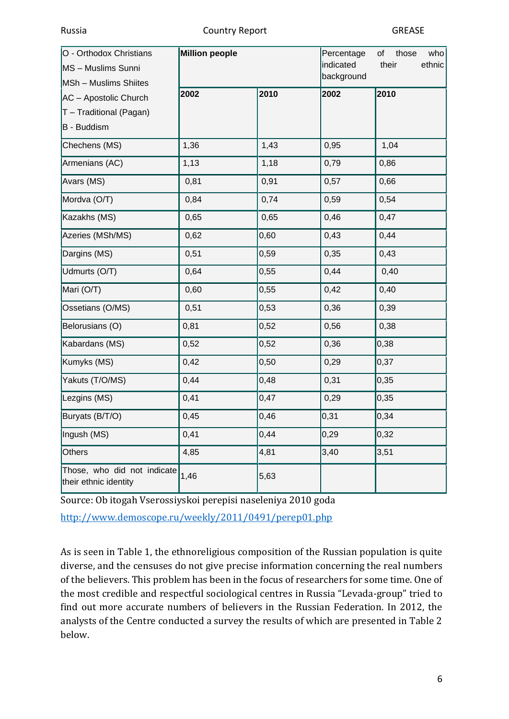| O - Orthodox Christians<br>MS - Muslims Sunni<br>MSh - Muslims Shiites | <b>Million people</b> |      | Percentage<br>of<br>those<br>who<br>indicated<br>their<br>ethnic<br>background |      |
|------------------------------------------------------------------------|-----------------------|------|--------------------------------------------------------------------------------|------|
| AC - Apostolic Church<br>T - Traditional (Pagan)<br>B - Buddism        | 2002                  | 2010 | 2002                                                                           | 2010 |
| Chechens (MS)                                                          | 1,36                  | 1,43 | 0,95                                                                           | 1,04 |
| Armenians (AC)                                                         | 1,13                  | 1,18 | 0,79                                                                           | 0,86 |
| Avars (MS)                                                             | 0,81                  | 0,91 | 0,57                                                                           | 0,66 |
| Mordva (O/T)                                                           | 0,84                  | 0,74 | 0,59                                                                           | 0,54 |
| Kazakhs (MS)                                                           | 0,65                  | 0,65 | 0,46                                                                           | 0,47 |
| Azeries (MSh/MS)                                                       | 0,62                  | 0,60 | 0,43                                                                           | 0,44 |
| Dargins (MS)                                                           | 0,51                  | 0,59 | 0,35                                                                           | 0,43 |
| Udmurts (O/T)                                                          | 0,64                  | 0,55 | 0,44                                                                           | 0,40 |
| Mari (O/T)                                                             | 0,60                  | 0,55 | 0,42                                                                           | 0,40 |
| Ossetians (O/MS)                                                       | 0,51                  | 0,53 | 0,36                                                                           | 0,39 |
| Belorusians (O)                                                        | 0,81                  | 0,52 | 0,56                                                                           | 0,38 |
| Kabardans (MS)                                                         | 0,52                  | 0,52 | 0,36                                                                           | 0,38 |
| Kumyks (MS)                                                            | 0,42                  | 0,50 | 0,29                                                                           | 0,37 |
| Yakuts (T/O/MS)                                                        | 0,44                  | 0,48 | 0,31                                                                           | 0,35 |
| Lezgins (MS)                                                           | 0,41                  | 0,47 | 0,29                                                                           | 0,35 |
| Buryats (B/T/O)                                                        | 0,45                  | 0,46 | 0,31                                                                           | 0,34 |
| Ingush (MS)                                                            | 0,41                  | 0,44 | 0,29                                                                           | 0,32 |
| Others                                                                 | 4,85                  | 4,81 | 3,40                                                                           | 3,51 |
| Those, who did not indicate<br>their ethnic identity                   | 1,46                  | 5,63 |                                                                                |      |

Source: Ob itogah Vserossiyskoi perepisi naseleniya 2010 goda

<http://www.demoscope.ru/weekly/2011/0491/perep01.php>

As is seen in Table 1, the ethnoreligious composition of the Russian population is quite diverse, and the censuses do not give precise information concerning the real numbers of the believers. This problem has been in the focus of researchers for some time. One of the most credible and respectful sociological centres in Russia "Levada-group" tried to find out more accurate numbers of believers in the Russian Federation. In 2012, the analysts of the Centre conducted a survey the results of which are presented in Table 2 below.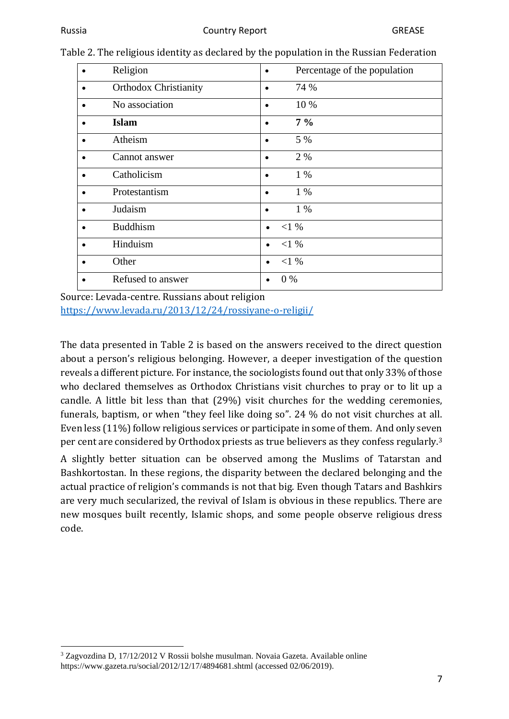|           | Religion                     |                      | Percentage of the population |
|-----------|------------------------------|----------------------|------------------------------|
| $\bullet$ | <b>Orthodox Christianity</b> | $\bullet$            | 74 %                         |
| $\bullet$ | No association               |                      | 10 %                         |
|           | <b>Islam</b>                 |                      | $7\%$                        |
|           | Atheism                      |                      | 5 %                          |
|           | Cannot answer                |                      | 2 %                          |
|           | Catholicism                  |                      | $1\%$                        |
|           | Protestantism                |                      | $1\%$                        |
|           | Judaism                      | $\bullet$            | $1\%$                        |
|           | <b>Buddhism</b>              | $<$ 1 %<br>$\bullet$ |                              |
|           | Hinduism                     | $<$ 1 %<br>$\bullet$ |                              |
|           | Other                        | <1%<br>$\bullet$     |                              |
|           | Refused to answer            | $0\%$<br>$\bullet$   |                              |

Table 2. The religious identity as declared by the population in the Russian Federation

Source: Levada-centre. Russians about religion <https://www.levada.ru/2013/12/24/rossiyane-o-religii/>

The data presented in Table 2 is based on the answers received to the direct question about a person's religious belonging. However, a deeper investigation of the question reveals a different picture. For instance, the sociologists found out that only 33% of those who declared themselves as Orthodox Christians visit churches to pray or to lit up a candle. A little bit less than that (29%) visit churches for the wedding ceremonies, funerals, baptism, or when "they feel like doing so". 24 % do not visit churches at all. Even less (11%) follow religious services or participate in some of them. And only seven per cent are considered by Orthodox priests as true believers as they confess regularly.<sup>3</sup>

A slightly better situation can be observed among the Muslims of Tatarstan and Bashkortostan. In these regions, the disparity between the declared belonging and the actual practice of religion's commands is not that big. Even though Tatars and Bashkirs are very much secularized, the revival of Islam is obvious in these republics. There are new mosques built recently, Islamic shops, and some people observe religious dress code.

<sup>3</sup> Zagvozdina D, 17/12/2012 V Rossii bolshe musulman. Novaia Gazeta. Available online https://www.gazeta.ru/social/2012/12/17/4894681.shtml (accessed 02/06/2019).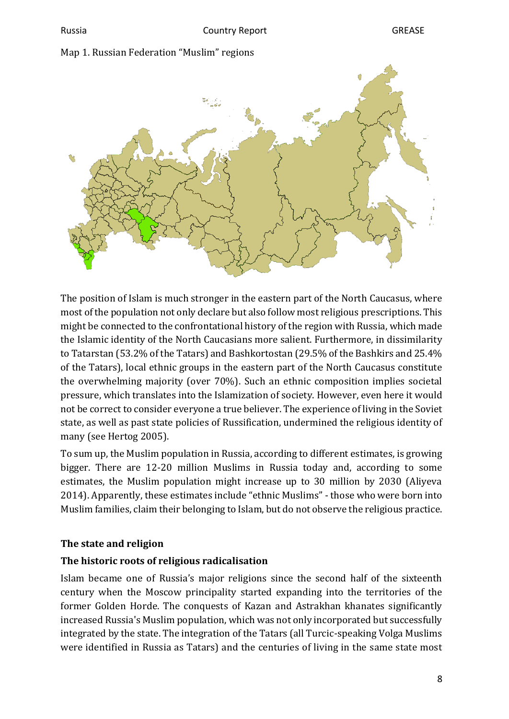#### Map 1. Russian Federation "Muslim" regions



The position of Islam is much stronger in the eastern part of the North Caucasus, where most of the population not only declare but also follow most religious prescriptions. This might be connected to the confrontational history of the region with Russia, which made the Islamic identity of the North Caucasians more salient. Furthermore, in dissimilarity to Tatarstan (53.2% of the Tatars) and Bashkortostan (29.5% of the Bashkirs and 25.4% of the Tatars), local ethnic groups in the eastern part of the North Caucasus constitute the overwhelming majority (over 70%). Such an ethnic composition implies societal pressure, which translates into the Islamization of society. However, even here it would not be correct to consider everyone a true believer. The experience of living in the Soviet state, as well as past state policies of Russification, undermined the religious identity of many (see Hertog 2005).

To sum up, the Muslim population in Russia, according to different estimates, is growing bigger. There are 12-20 million Muslims in Russia today and, according to some estimates, the Muslim population might increase up to 30 million by 2030 (Aliyeva 2014). Apparently, these estimates include "ethnic Muslims" - those who were born into Muslim families, claim their belonging to Islam, but do not observe the religious practice.

#### <span id="page-7-0"></span>**The state and religion**

#### <span id="page-7-1"></span>**The historic roots of religious radicalisation**

Islam became one of Russia's major religions since the second half of the sixteenth century when the Moscow principality started expanding into the territories of the former Golden Horde. The conquests of Kazan and Astrakhan khanates significantly increased Russia's Muslim population, which was not only incorporated but successfully integrated by the state. The integration of the Tatars (all Turcic-speaking Volga Muslims were identified in Russia as Tatars) and the centuries of living in the same state most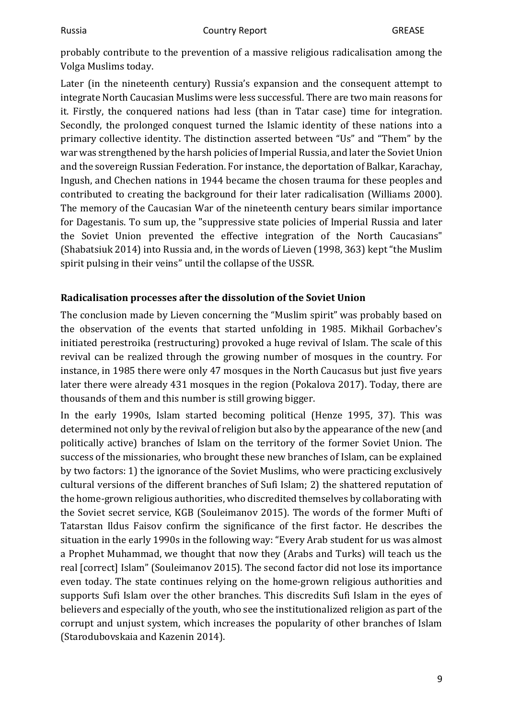probably contribute to the prevention of a massive religious radicalisation among the Volga Muslims today.

Later (in the nineteenth century) Russia's expansion and the consequent attempt to integrate North Caucasian Muslims were less successful. There are two main reasons for it. Firstly, the conquered nations had less (than in Tatar case) time for integration. Secondly, the prolonged conquest turned the Islamic identity of these nations into a primary collective identity. The distinction asserted between "Us" and "Them" by the war was strengthened by the harsh policies of Imperial Russia, and later the Soviet Union and the sovereign Russian Federation. For instance, the deportation of Balkar, Karachay, Ingush, and Chechen nations in 1944 became the chosen trauma for these peoples and contributed to creating the background for their later radicalisation (Williams 2000). The memory of the Caucasian War of the nineteenth century bears similar importance for Dagestanis. To sum up, the "suppressive state policies of Imperial Russia and later the Soviet Union prevented the effective integration of the North Caucasians" (Shabatsiuk 2014) into Russia and, in the words of Lieven (1998, 363) kept "the Muslim spirit pulsing in their veins" until the collapse of the USSR.

#### <span id="page-8-0"></span>**Radicalisation processes after the dissolution of the Soviet Union**

The conclusion made by Lieven concerning the "Muslim spirit" was probably based on the observation of the events that started unfolding in 1985. Mikhail Gorbachev's initiated perestroika (restructuring) provoked a huge revival of Islam. The scale of this revival can be realized through the growing number of mosques in the country. For instance, in 1985 there were only 47 mosques in the North Caucasus but just five years later there were already 431 mosques in the region (Pokalova 2017). Today, there are thousands of them and this number is still growing bigger.

In the early 1990s, Islam started becoming political (Henze 1995, 37). This was determined not only by the revival of religion but also by the appearance of the new (and politically active) branches of Islam on the territory of the former Soviet Union. The success of the missionaries, who brought these new branches of Islam, can be explained by two factors: 1) the ignorance of the Soviet Muslims, who were practicing exclusively cultural versions of the different branches of Sufi Islam; 2) the shattered reputation of the home-grown religious authorities, who discredited themselves by collaborating with the Soviet secret service, KGB (Souleimanov 2015). The words of the former Mufti of Tatarstan Ildus Faisov confirm the significance of the first factor. He describes the situation in the early 1990s in the following way: "Every Arab student for us was almost a Prophet Muhammad, we thought that now they (Arabs and Turks) will teach us the real [correct] Islam" (Souleimanov 2015). The second factor did not lose its importance even today. The state continues relying on the home-grown religious authorities and supports Sufi Islam over the other branches. This discredits Sufi Islam in the eyes of believers and especially of the youth, who see the institutionalized religion as part of the corrupt and unjust system, which increases the popularity of other branches of Islam (Starodubovskaia and Kazenin 2014).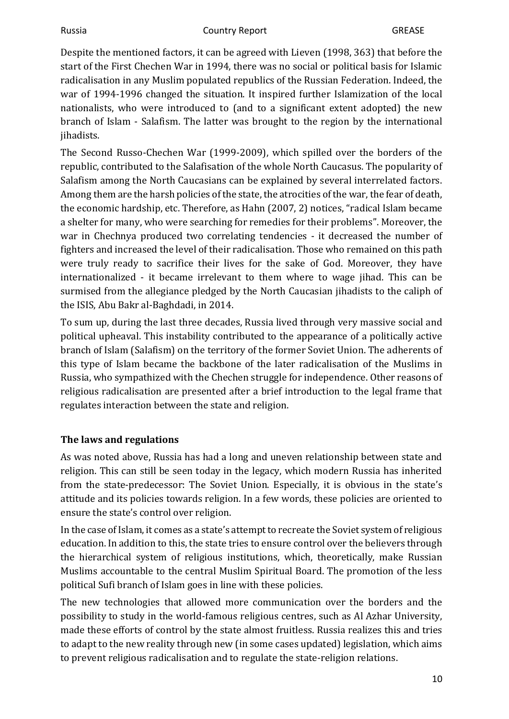Despite the mentioned factors, it can be agreed with Lieven (1998, 363) that before the start of the First Chechen War in 1994, there was no social or political basis for Islamic radicalisation in any Muslim populated republics of the Russian Federation. Indeed, the war of 1994-1996 changed the situation. It inspired further Islamization of the local nationalists, who were introduced to (and to a significant extent adopted) the new branch of Islam - Salafism. The latter was brought to the region by the international jihadists.

The Second Russo-Chechen War (1999-2009), which spilled over the borders of the republic, contributed to the Salafisation of the whole North Caucasus. The popularity of Salafism among the North Caucasians can be explained by several interrelated factors. Among them are the harsh policies of the state, the atrocities of the war, the fear of death, the economic hardship, etc. Therefore, as Hahn (2007, 2) notices, "radical Islam became a shelter for many, who were searching for remedies for their problems". Moreover, the war in Chechnya produced two correlating tendencies - it decreased the number of fighters and increased the level of their radicalisation. Those who remained on this path were truly ready to sacrifice their lives for the sake of God. Moreover, they have internationalized - it became irrelevant to them where to wage jihad. This can be surmised from the allegiance pledged by the North Caucasian jihadists to the caliph of the ISIS, Abu Bakr al-Baghdadi, in 2014.

To sum up, during the last three decades, Russia lived through very massive social and political upheaval. This instability contributed to the appearance of a politically active branch of Islam (Salafism) on the territory of the former Soviet Union. The adherents of this type of Islam became the backbone of the later radicalisation of the Muslims in Russia, who sympathized with the Chechen struggle for independence. Other reasons of religious radicalisation are presented after a brief introduction to the legal frame that regulates interaction between the state and religion.

#### <span id="page-9-0"></span>**The laws and regulations**

As was noted above, Russia has had a long and uneven relationship between state and religion. This can still be seen today in the legacy, which modern Russia has inherited from the state-predecessor: The Soviet Union. Especially, it is obvious in the state's attitude and its policies towards religion. In a few words, these policies are oriented to ensure the state's control over religion.

In the case of Islam, it comes as a state's attempt to recreate the Soviet system of religious education. In addition to this, the state tries to ensure control over the believers through the hierarchical system of religious institutions, which, theoretically, make Russian Muslims accountable to the central Muslim Spiritual Board. The promotion of the less political Sufi branch of Islam goes in line with these policies.

The new technologies that allowed more communication over the borders and the possibility to study in the world-famous religious centres, such as Al Azhar University, made these efforts of control by the state almost fruitless. Russia realizes this and tries to adapt to the new reality through new (in some cases updated) legislation, which aims to prevent religious radicalisation and to regulate the state-religion relations.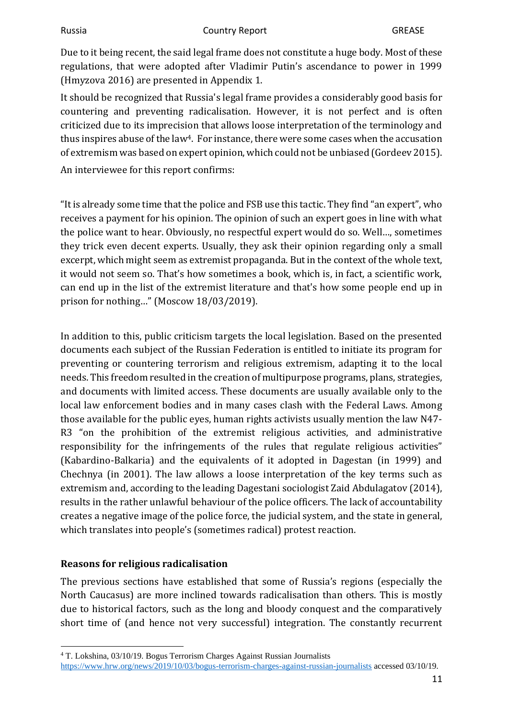Due to it being recent, the said legal frame does not constitute a huge body. Most of these regulations, that were adopted after Vladimir Putin's ascendance to power in 1999 (Hmyzova 2016) are presented in Appendix 1.

It should be recognized that Russia's legal frame provides a considerably good basis for countering and preventing radicalisation. However, it is not perfect and is often criticized due to its imprecision that allows loose interpretation of the terminology and thus inspires abuse of the law4. For instance, there were some cases when the accusation of extremism was based on expert opinion, which could not be unbiased (Gordeev 2015).

An interviewee for this report confirms:

"It is already some time that the police and FSB use this tactic. They find "an expert", who receives a payment for his opinion. The opinion of such an expert goes in line with what the police want to hear. Obviously, no respectful expert would do so. Well…, sometimes they trick even decent experts. Usually, they ask their opinion regarding only a small excerpt, which might seem as extremist propaganda. But in the context of the whole text, it would not seem so. That's how sometimes a book, which is, in fact, a scientific work, can end up in the list of the extremist literature and that's how some people end up in prison for nothing…" (Moscow 18/03/2019).

In addition to this, public criticism targets the local legislation. Based on the presented documents each subject of the Russian Federation is entitled to initiate its program for preventing or countering terrorism and religious extremism, adapting it to the local needs. This freedom resulted in the creation of multipurpose programs, plans, strategies, and documents with limited access. These documents are usually available only to the local law enforcement bodies and in many cases clash with the Federal Laws. Among those available for the public eyes, human rights activists usually mention the law N47- R3 "on the prohibition of the extremist religious activities, and administrative responsibility for the infringements of the rules that regulate religious activities" (Kabardino-Balkaria) and the equivalents of it adopted in Dagestan (in 1999) and Chechnya (in 2001). The law allows a loose interpretation of the key terms such as extremism and, according to the leading Dagestani sociologist Zaid Abdulagatov (2014), results in the rather unlawful behaviour of the police officers. The lack of accountability creates a negative image of the police force, the judicial system, and the state in general, which translates into people's (sometimes radical) protest reaction.

#### <span id="page-10-0"></span>**Reasons for religious radicalisation**

The previous sections have established that some of Russia's regions (especially the North Caucasus) are more inclined towards radicalisation than others. This is mostly due to historical factors, such as the long and bloody conquest and the comparatively short time of (and hence not very successful) integration. The constantly recurrent

<sup>4</sup> T. Lokshina, 03/10/19. Bogus Terrorism Charges Against Russian Journalists <https://www.hrw.org/news/2019/10/03/bogus-terrorism-charges-against-russian-journalists> accessed 03/10/19.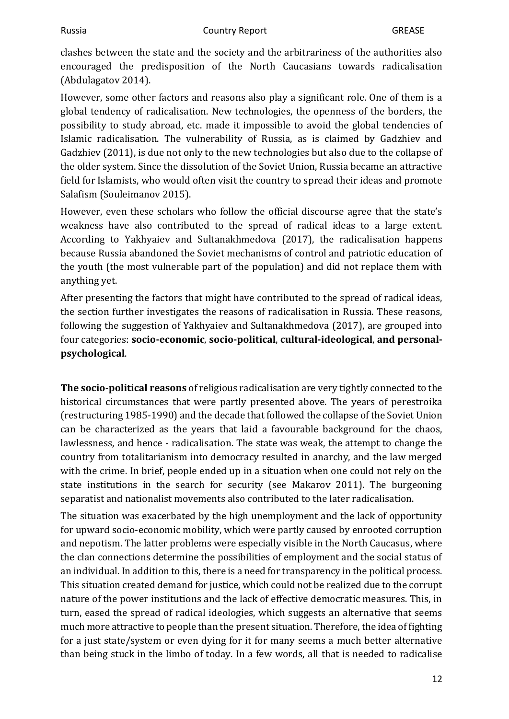clashes between the state and the society and the arbitrariness of the authorities also encouraged the predisposition of the North Caucasians towards radicalisation (Abdulagatov 2014).

However, some other factors and reasons also play a significant role. One of them is a global tendency of radicalisation. New technologies, the openness of the borders, the possibility to study abroad, etc. made it impossible to avoid the global tendencies of Islamic radicalisation. The vulnerability of Russia, as is claimed by Gadzhiev and Gadzhiev (2011), is due not only to the new technologies but also due to the collapse of the older system. Since the dissolution of the Soviet Union, Russia became an attractive field for Islamists, who would often visit the country to spread their ideas and promote Salafism (Souleimanov 2015).

However, even these scholars who follow the official discourse agree that the state's weakness have also contributed to the spread of radical ideas to a large extent. According to Yakhyaiev and Sultanakhmedova (2017), the radicalisation happens because Russia abandoned the Soviet mechanisms of control and patriotic education of the youth (the most vulnerable part of the population) and did not replace them with anything yet.

After presenting the factors that might have contributed to the spread of radical ideas, the section further investigates the reasons of radicalisation in Russia. These reasons, following the suggestion of Yakhyaiev and Sultanakhmedova (2017), are grouped into four categories: **socio-economic**, **socio-political**, **cultural-ideological**, **and personalpsychological**.

**The socio-political reasons** of religious radicalisation are very tightly connected to the historical circumstances that were partly presented above. The years of perestroika (restructuring 1985-1990) and the decade that followed the collapse of the Soviet Union can be characterized as the years that laid a favourable background for the chaos, lawlessness, and hence - radicalisation. The state was weak, the attempt to change the country from totalitarianism into democracy resulted in anarchy, and the law merged with the crime. In brief, people ended up in a situation when one could not rely on the state institutions in the search for security (see Makarov 2011). The burgeoning separatist and nationalist movements also contributed to the later radicalisation.

The situation was exacerbated by the high unemployment and the lack of opportunity for upward socio-economic mobility, which were partly caused by enrooted corruption and nepotism. The latter problems were especially visible in the North Caucasus, where the clan connections determine the possibilities of employment and the social status of an individual. In addition to this, there is a need for transparency in the political process. This situation created demand for justice, which could not be realized due to the corrupt nature of the power institutions and the lack of effective democratic measures. This, in turn, eased the spread of radical ideologies, which suggests an alternative that seems much more attractive to people than the present situation. Therefore, the idea of fighting for a just state/system or even dying for it for many seems a much better alternative than being stuck in the limbo of today. In a few words, all that is needed to radicalise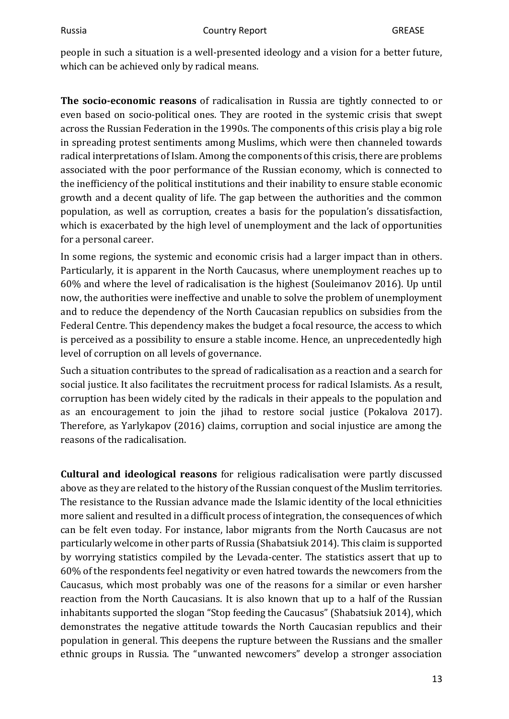people in such a situation is a well-presented ideology and a vision for a better future, which can be achieved only by radical means.

**The socio-economic reasons** of radicalisation in Russia are tightly connected to or even based on socio-political ones. They are rooted in the systemic crisis that swept across the Russian Federation in the 1990s. The components of this crisis play a big role in spreading protest sentiments among Muslims, which were then channeled towards radical interpretations of Islam. Among the components of this crisis, there are problems associated with the poor performance of the Russian economy, which is connected to the inefficiency of the political institutions and their inability to ensure stable economic growth and a decent quality of life. The gap between the authorities and the common population, as well as corruption, creates a basis for the population's dissatisfaction, which is exacerbated by the high level of unemployment and the lack of opportunities for a personal career.

In some regions, the systemic and economic crisis had a larger impact than in others. Particularly, it is apparent in the North Caucasus, where unemployment reaches up to 60% and where the level of radicalisation is the highest (Souleimanov 2016). Up until now, the authorities were ineffective and unable to solve the problem of unemployment and to reduce the dependency of the North Caucasian republics on subsidies from the Federal Centre. This dependency makes the budget a focal resource, the access to which is perceived as a possibility to ensure a stable income. Hence, an unprecedentedly high level of corruption on all levels of governance.

Such a situation contributes to the spread of radicalisation as a reaction and a search for social justice. It also facilitates the recruitment process for radical Islamists. As a result, corruption has been widely cited by the radicals in their appeals to the population and as an encouragement to join the jihad to restore social justice (Pokalova 2017). Therefore, as Yarlykapov (2016) claims, corruption and social injustice are among the reasons of the radicalisation.

**Cultural and ideological reasons** for religious radicalisation were partly discussed above as they are related to the history of the Russian conquest of the Muslim territories. The resistance to the Russian advance made the Islamic identity of the local ethnicities more salient and resulted in a difficult process of integration, the consequences of which can be felt even today. For instance, labor migrants from the North Caucasus are not particularly welcome in other parts of Russia (Shabatsiuk 2014). This claim is supported by worrying statistics compiled by the Levada-center. The statistics assert that up to 60% of the respondents feel negativity or even hatred towards the newcomers from the Caucasus, which most probably was one of the reasons for a similar or even harsher reaction from the North Caucasians. It is also known that up to a half of the Russian inhabitants supported the slogan "Stop feeding the Caucasus" (Shabatsiuk 2014), which demonstrates the negative attitude towards the North Caucasian republics and their population in general. This deepens the rupture between the Russians and the smaller ethnic groups in Russia. The "unwanted newcomers" develop a stronger association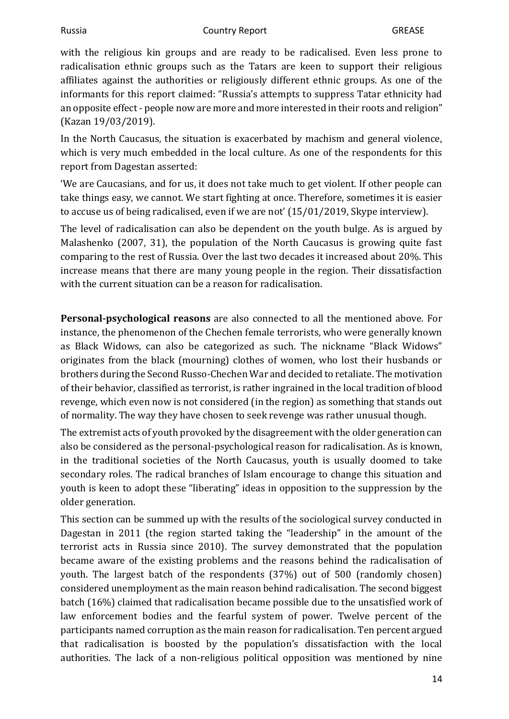with the religious kin groups and are ready to be radicalised. Even less prone to radicalisation ethnic groups such as the Tatars are keen to support their religious affiliates against the authorities or religiously different ethnic groups. As one of the informants for this report claimed: "Russia's attempts to suppress Tatar ethnicity had an opposite effect - people now are more and more interested in their roots and religion" (Kazan 19/03/2019).

In the North Caucasus, the situation is exacerbated by machism and general violence, which is very much embedded in the local culture. As one of the respondents for this report from Dagestan asserted:

'We are Caucasians, and for us, it does not take much to get violent. If other people can take things easy, we cannot. We start fighting at once. Therefore, sometimes it is easier to accuse us of being radicalised, even if we are not' (15/01/2019, Skype interview).

The level of radicalisation can also be dependent on the youth bulge. As is argued by Malashenko (2007, 31), the population of the North Caucasus is growing quite fast comparing to the rest of Russia. Over the last two decades it increased about 20%. This increase means that there are many young people in the region. Their dissatisfaction with the current situation can be a reason for radicalisation.

**Personal-psychological reasons** are also connected to all the mentioned above. For instance, the phenomenon of the Chechen female terrorists, who were generally known as Black Widows, can also be categorized as such. The nickname "Black Widows" originates from the black (mourning) clothes of women, who lost their husbands or brothers during the Second Russo-Chechen War and decided to retaliate. The motivation of their behavior, classified as terrorist, is rather ingrained in the local tradition of blood revenge, which even now is not considered (in the region) as something that stands out of normality. The way they have chosen to seek revenge was rather unusual though.

The extremist acts of youth provoked by the disagreement with the older generation can also be considered as the personal-psychological reason for radicalisation. As is known, in the traditional societies of the North Caucasus, youth is usually doomed to take secondary roles. The radical branches of Islam encourage to change this situation and youth is keen to adopt these "liberating" ideas in opposition to the suppression by the older generation.

This section can be summed up with the results of the sociological survey conducted in Dagestan in 2011 (the region started taking the "leadership" in the amount of the terrorist acts in Russia since 2010). The survey demonstrated that the population became aware of the existing problems and the reasons behind the radicalisation of youth. The largest batch of the respondents (37%) out of 500 (randomly chosen) considered unemployment as the main reason behind radicalisation. The second biggest batch (16%) claimed that radicalisation became possible due to the unsatisfied work of law enforcement bodies and the fearful system of power. Twelve percent of the participants named corruption as the main reason for radicalisation. Ten percent argued that radicalisation is boosted by the population's dissatisfaction with the local authorities. The lack of a non-religious political opposition was mentioned by nine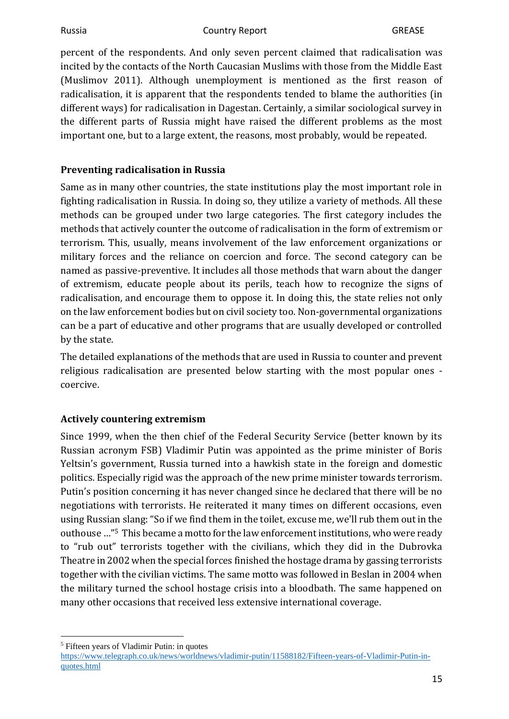percent of the respondents. And only seven percent claimed that radicalisation was incited by the contacts of the North Caucasian Muslims with those from the Middle East (Muslimov 2011). Although unemployment is mentioned as the first reason of radicalisation, it is apparent that the respondents tended to blame the authorities (in different ways) for radicalisation in Dagestan. Certainly, a similar sociological survey in the different parts of Russia might have raised the different problems as the most important one, but to a large extent, the reasons, most probably, would be repeated.

#### <span id="page-14-0"></span>**Preventing radicalisation in Russia**

Same as in many other countries, the state institutions play the most important role in fighting radicalisation in Russia. In doing so, they utilize a variety of methods. All these methods can be grouped under two large categories. The first category includes the methods that actively counter the outcome of radicalisation in the form of extremism or terrorism. This, usually, means involvement of the law enforcement organizations or military forces and the reliance on coercion and force. The second category can be named as passive-preventive. It includes all those methods that warn about the danger of extremism, educate people about its perils, teach how to recognize the signs of radicalisation, and encourage them to oppose it. In doing this, the state relies not only on the law enforcement bodies but on civil society too. Non-governmental organizations can be a part of educative and other programs that are usually developed or controlled by the state.

The detailed explanations of the methods that are used in Russia to counter and prevent religious radicalisation are presented below starting with the most popular ones coercive.

#### <span id="page-14-1"></span>**Actively countering extremism**

Since 1999, when the then chief of the Federal Security Service (better known by its Russian acronym FSB) Vladimir Putin was appointed as the prime minister of Boris Yeltsin's government, Russia turned into a hawkish state in the foreign and domestic politics. Especially rigid was the approach of the new prime minister towards terrorism. Putin's position concerning it has never changed since he declared that there will be no negotiations with terrorists. He reiterated it many times on different occasions, even using Russian slang: "So if we find them in the toilet, excuse me, we'll rub them out in the outhouse …"5 This became a motto for the law enforcement institutions, who were ready to "rub out" terrorists together with the civilians, which they did in the Dubrovka Theatre in 2002 when the special forces finished the hostage drama by gassing terrorists together with the civilian victims. The same motto was followed in Beslan in 2004 when the military turned the school hostage crisis into a bloodbath. The same happened on many other occasions that received less extensive international coverage.

<sup>5</sup> Fifteen years of Vladimir Putin: in quotes

[https://www.telegraph.co.uk/news/worldnews/vladimir-putin/11588182/Fifteen-years-of-Vladimir-Putin-in](https://www.telegraph.co.uk/news/worldnews/vladimir-putin/11588182/Fifteen-years-of-Vladimir-Putin-in-quotes.html)[quotes.html](https://www.telegraph.co.uk/news/worldnews/vladimir-putin/11588182/Fifteen-years-of-Vladimir-Putin-in-quotes.html)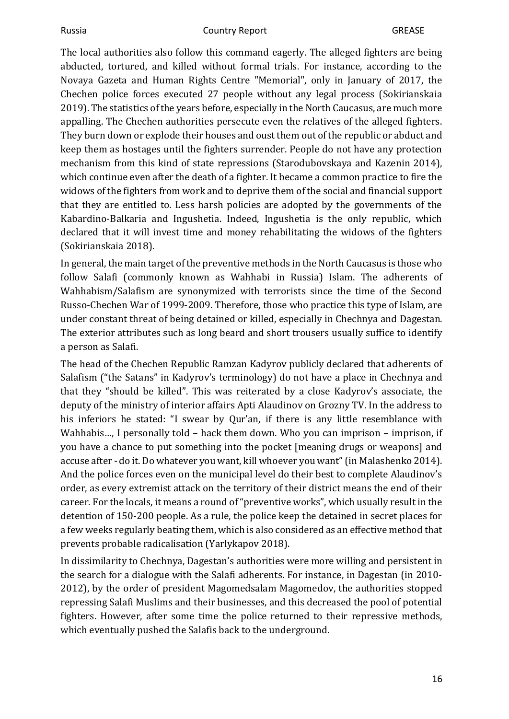#### Russia **Country Report** Country Report **GREASE**

The local authorities also follow this command eagerly. The alleged fighters are being abducted, tortured, and killed without formal trials. For instance, according to the Novaya Gazeta and Human Rights Centre "Memorial", only in January of 2017, the Chechen police forces executed 27 people without any legal process (Sokirianskaia 2019). The statistics of the years before, especially in the North Caucasus, are much more appalling. The Chechen authorities persecute even the relatives of the alleged fighters. They burn down or explode their houses and oust them out of the republic or abduct and keep them as hostages until the fighters surrender. People do not have any protection mechanism from this kind of state repressions (Starodubovskaya and Kazenin 2014), which continue even after the death of a fighter. It became a common practice to fire the widows of the fighters from work and to deprive them of the social and financial support that they are entitled to. Less harsh policies are adopted by the governments of the Kabardino-Balkaria and Ingushetia. Indeed, Ingushetia is the only republic, which declared that it will invest time and money rehabilitating the widows of the fighters (Sokirianskaia 2018).

In general, the main target of the preventive methods in the North Caucasus is those who follow Salafi (commonly known as Wahhabi in Russia) Islam. The adherents of Wahhabism/Salafism are synonymized with terrorists since the time of the Second Russo-Chechen War of 1999-2009. Therefore, those who practice this type of Islam, are under constant threat of being detained or killed, especially in Chechnya and Dagestan. The exterior attributes such as long beard and short trousers usually suffice to identify a person as Salafi.

The head of the Chechen Republic Ramzan Kadyrov publicly declared that adherents of Salafism ("the Satans" in Kadyrov's terminology) do not have a place in Chechnya and that they "should be killed". This was reiterated by a close Kadyrov's associate, the deputy of the ministry of interior affairs Apti Alaudinov on Grozny TV. In the address to his inferiors he stated: "I swear by Qur'an, if there is any little resemblance with Wahhabis…, I personally told – hack them down. Who you can imprison – imprison, if you have a chance to put something into the pocket [meaning drugs or weapons] and accuse after - do it. Do whatever you want, kill whoever you want" (in Malashenko 2014). And the police forces even on the municipal level do their best to complete Alaudinov's order, as every extremist attack on the territory of their district means the end of their career. For the locals, it means a round of "preventive works", which usually result in the detention of 150-200 people. As a rule, the police keep the detained in secret places for a few weeks regularly beating them, which is also considered as an effective method that prevents probable radicalisation (Yarlykapov 2018).

In dissimilarity to Chechnya, Dagestan's authorities were more willing and persistent in the search for a dialogue with the Salafi adherents. For instance, in Dagestan (in 2010- 2012), by the order of president Magomedsalam Magomedov, the authorities stopped repressing Salafi Muslims and their businesses, and this decreased the pool of potential fighters. However, after some time the police returned to their repressive methods, which eventually pushed the Salafis back to the underground.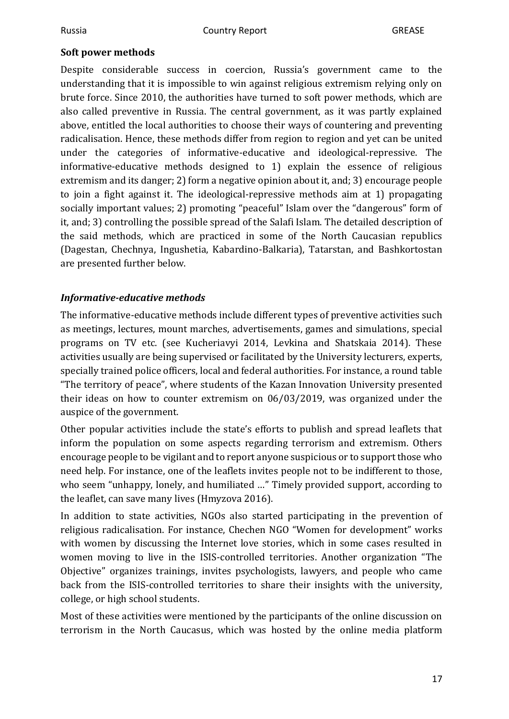#### <span id="page-16-0"></span>**Soft power methods**

Despite considerable success in coercion, Russia's government came to the understanding that it is impossible to win against religious extremism relying only on brute force. Since 2010, the authorities have turned to soft power methods, which are also called preventive in Russia. The central government, as it was partly explained above, entitled the local authorities to choose their ways of countering and preventing radicalisation. Hence, these methods differ from region to region and yet can be united under the categories of informative-educative and ideological-repressive. The informative-educative methods designed to 1) explain the essence of religious extremism and its danger; 2) form a negative opinion about it, and; 3) encourage people to join a fight against it. The ideological-repressive methods aim at 1) propagating socially important values; 2) promoting "peaceful" Islam over the "dangerous" form of it, and; 3) controlling the possible spread of the Salafi Islam. The detailed description of the said methods, which are practiced in some of the North Caucasian republics (Dagestan, Chechnya, Ingushetia, Kabardino-Balkaria), Tatarstan, and Bashkortostan are presented further below.

#### *Informative-educative methods*

The informative-educative methods include different types of preventive activities such as meetings, lectures, mount marches, advertisements, games and simulations, special programs on TV etc. (see Kucheriavyi 2014, Levkina and Shatskaia 2014). These activities usually are being supervised or facilitated by the University lecturers, experts, specially trained police officers, local and federal authorities. For instance, a round table "The territory of peace", where students of the Kazan Innovation University presented their ideas on how to counter extremism on 06/03/2019, was organized under the auspice of the government.

Other popular activities include the state's efforts to publish and spread leaflets that inform the population on some aspects regarding terrorism and extremism. Others encourage people to be vigilant and to report anyone suspicious or to support those who need help. For instance, one of the leaflets invites people not to be indifferent to those, who seem "unhappy, lonely, and humiliated …" Timely provided support, according to the leaflet, can save many lives (Hmyzova 2016).

In addition to state activities, NGOs also started participating in the prevention of religious radicalisation. For instance, Chechen NGO "Women for development" works with women by discussing the Internet love stories, which in some cases resulted in women moving to live in the ISIS-controlled territories. Another organization "The Objective" organizes trainings, invites psychologists, lawyers, and people who came back from the ISIS-controlled territories to share their insights with the university, college, or high school students.

Most of these activities were mentioned by the participants of the online discussion on terrorism in the North Caucasus, which was hosted by the online media platform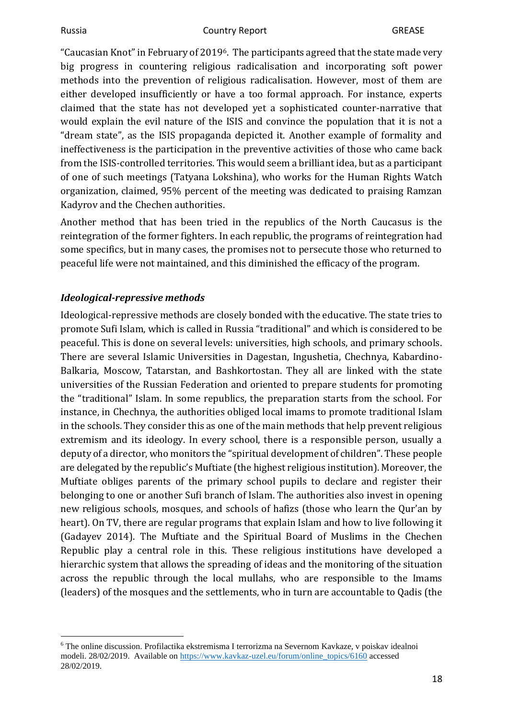"Caucasian Knot" in February of 20196. The participants agreed that the state made very big progress in countering religious radicalisation and incorporating soft power methods into the prevention of religious radicalisation. However, most of them are either developed insufficiently or have a too formal approach. For instance, experts claimed that the state has not developed yet a sophisticated counter-narrative that would explain the evil nature of the ISIS and convince the population that it is not a "dream state", as the ISIS propaganda depicted it. Another example of formality and ineffectiveness is the participation in the preventive activities of those who came back from the ISIS-controlled territories. This would seem a brilliant idea, but as a participant of one of such meetings (Tatyana Lokshina), who works for the Human Rights Watch organization, claimed, 95% percent of the meeting was dedicated to praising Ramzan Kadyrov and the Chechen authorities.

Another method that has been tried in the republics of the North Caucasus is the reintegration of the former fighters. In each republic, the programs of reintegration had some specifics, but in many cases, the promises not to persecute those who returned to peaceful life were not maintained, and this diminished the efficacy of the program.

#### *Ideological-repressive methods*

Ideological-repressive methods are closely bonded with the educative. The state tries to promote Sufi Islam, which is called in Russia "traditional" and which is considered to be peaceful. This is done on several levels: universities, high schools, and primary schools. There are several Islamic Universities in Dagestan, Ingushetia, Chechnya, Kabardino-Balkaria, Moscow, Tatarstan, and Bashkortostan. They all are linked with the state universities of the Russian Federation and oriented to prepare students for promoting the "traditional" Islam. In some republics, the preparation starts from the school. For instance, in Chechnya, the authorities obliged local imams to promote traditional Islam in the schools. They consider this as one of the main methods that help prevent religious extremism and its ideology. In every school, there is a responsible person, usually a deputy of a director, who monitors the "spiritual development of children". These people are delegated by the republic's Muftiate (the highest religious institution). Moreover, the Muftiate obliges parents of the primary school pupils to declare and register their belonging to one or another Sufi branch of Islam. The authorities also invest in opening new religious schools, mosques, and schools of hafizs (those who learn the Qur'an by heart). On TV, there are regular programs that explain Islam and how to live following it (Gadayev 2014). The Muftiate and the Spiritual Board of Muslims in the Chechen Republic play a central role in this. These religious institutions have developed a hierarchic system that allows the spreading of ideas and the monitoring of the situation across the republic through the local mullahs, who are responsible to the Imams (leaders) of the mosques and the settlements, who in turn are accountable to Qadis (the

<sup>6</sup> The online discussion. Profilactika ekstremisma I terrorizma na Severnom Kavkaze, v poiskav idealnoi modeli. 28/02/2019. Available on [https://www.kavkaz-uzel.eu/forum/online\\_topics/6160](https://www.kavkaz-uzel.eu/forum/online_topics/6160) accessed 28/02/2019.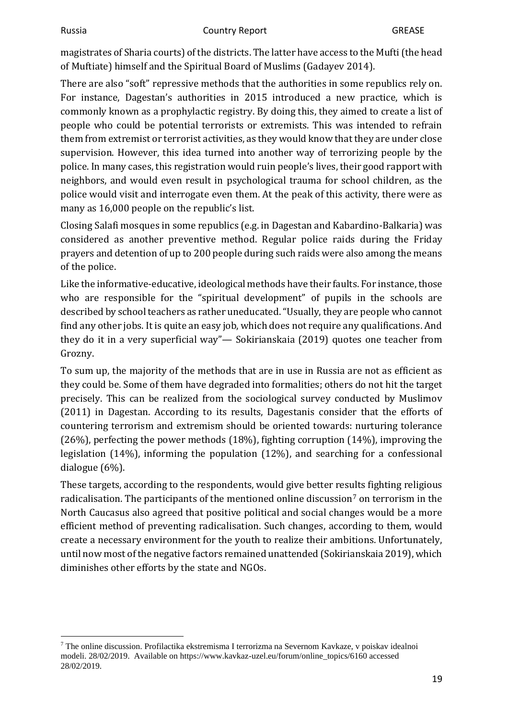magistrates of Sharia courts) of the districts. The latter have access to the Mufti (the head of Muftiate) himself and the Spiritual Board of Muslims (Gadayev 2014).

There are also "soft" repressive methods that the authorities in some republics rely on. For instance, Dagestan's authorities in 2015 introduced a new practice, which is commonly known as a prophylactic registry. By doing this, they aimed to create a list of people who could be potential terrorists or extremists. This was intended to refrain them from extremist or terrorist activities, as they would know that they are under close supervision. However, this idea turned into another way of terrorizing people by the police. In many cases, this registration would ruin people's lives, their good rapport with neighbors, and would even result in psychological trauma for school children, as the police would visit and interrogate even them. At the peak of this activity, there were as many as 16,000 people on the republic's list.

Closing Salafi mosques in some republics (e.g. in Dagestan and Kabardino-Balkaria) was considered as another preventive method. Regular police raids during the Friday prayers and detention of up to 200 people during such raids were also among the means of the police.

Like the informative-educative, ideological methods have their faults. For instance, those who are responsible for the "spiritual development" of pupils in the schools are described by school teachers as rather uneducated. "Usually, they are people who cannot find any other jobs. It is quite an easy job, which does not require any qualifications. And they do it in a very superficial way"— Sokirianskaia (2019) quotes one teacher from Grozny.

To sum up, the majority of the methods that are in use in Russia are not as efficient as they could be. Some of them have degraded into formalities; others do not hit the target precisely. This can be realized from the sociological survey conducted by Muslimov (2011) in Dagestan. According to its results, Dagestanis consider that the efforts of countering terrorism and extremism should be oriented towards: nurturing tolerance (26%), perfecting the power methods (18%), fighting corruption (14%), improving the legislation (14%), informing the population (12%), and searching for a confessional dialogue (6%).

These targets, according to the respondents, would give better results fighting religious radicalisation. The participants of the mentioned online discussion<sup>7</sup> on terrorism in the North Caucasus also agreed that positive political and social changes would be a more efficient method of preventing radicalisation. Such changes, according to them, would create a necessary environment for the youth to realize their ambitions. Unfortunately, until now most of the negative factors remained unattended (Sokirianskaia 2019), which diminishes other efforts by the state and NGOs.

<sup>7</sup> The online discussion. Profilactika ekstremisma I terrorizma na Severnom Kavkaze, v poiskav idealnoi modeli. 28/02/2019. Available on https://www.kavkaz-uzel.eu/forum/online\_topics/6160 accessed 28/02/2019.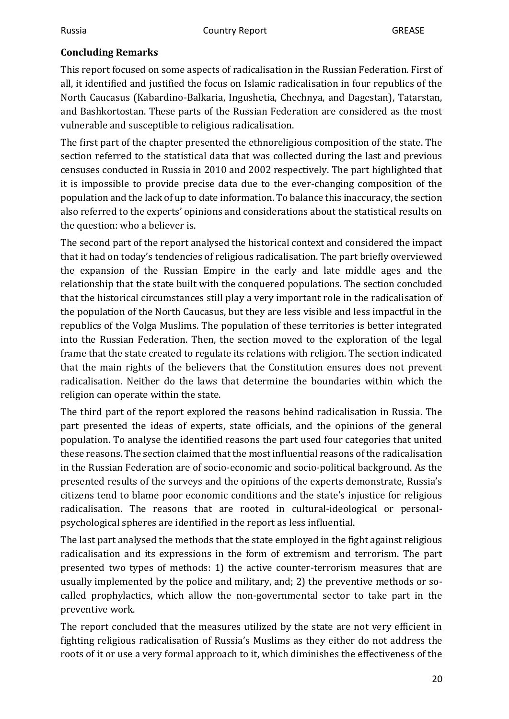#### <span id="page-19-0"></span>**Concluding Remarks**

This report focused on some aspects of radicalisation in the Russian Federation. First of all, it identified and justified the focus on Islamic radicalisation in four republics of the North Caucasus (Kabardino-Balkaria, Ingushetia, Chechnya, and Dagestan), Tatarstan, and Bashkortostan. These parts of the Russian Federation are considered as the most vulnerable and susceptible to religious radicalisation.

The first part of the chapter presented the ethnoreligious composition of the state. The section referred to the statistical data that was collected during the last and previous censuses conducted in Russia in 2010 and 2002 respectively. The part highlighted that it is impossible to provide precise data due to the ever-changing composition of the population and the lack of up to date information. To balance this inaccuracy, the section also referred to the experts' opinions and considerations about the statistical results on the question: who a believer is.

The second part of the report analysed the historical context and considered the impact that it had on today's tendencies of religious radicalisation. The part briefly overviewed the expansion of the Russian Empire in the early and late middle ages and the relationship that the state built with the conquered populations. The section concluded that the historical circumstances still play a very important role in the radicalisation of the population of the North Caucasus, but they are less visible and less impactful in the republics of the Volga Muslims. The population of these territories is better integrated into the Russian Federation. Then, the section moved to the exploration of the legal frame that the state created to regulate its relations with religion. The section indicated that the main rights of the believers that the Constitution ensures does not prevent radicalisation. Neither do the laws that determine the boundaries within which the religion can operate within the state.

The third part of the report explored the reasons behind radicalisation in Russia. The part presented the ideas of experts, state officials, and the opinions of the general population. To analyse the identified reasons the part used four categories that united these reasons. The section claimed that the most influential reasons of the radicalisation in the Russian Federation are of socio-economic and socio-political background. As the presented results of the surveys and the opinions of the experts demonstrate, Russia's citizens tend to blame poor economic conditions and the state's injustice for religious radicalisation. The reasons that are rooted in cultural-ideological or personalpsychological spheres are identified in the report as less influential.

The last part analysed the methods that the state employed in the fight against religious radicalisation and its expressions in the form of extremism and terrorism. The part presented two types of methods: 1) the active counter-terrorism measures that are usually implemented by the police and military, and; 2) the preventive methods or socalled prophylactics, which allow the non-governmental sector to take part in the preventive work.

The report concluded that the measures utilized by the state are not very efficient in fighting religious radicalisation of Russia's Muslims as they either do not address the roots of it or use a very formal approach to it, which diminishes the effectiveness of the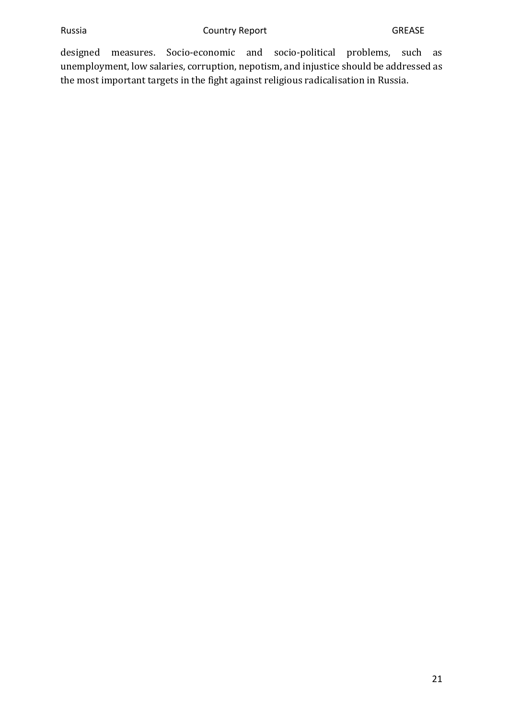designed measures. Socio-economic and socio-political problems, such as unemployment, low salaries, corruption, nepotism, and injustice should be addressed as the most important targets in the fight against religious radicalisation in Russia.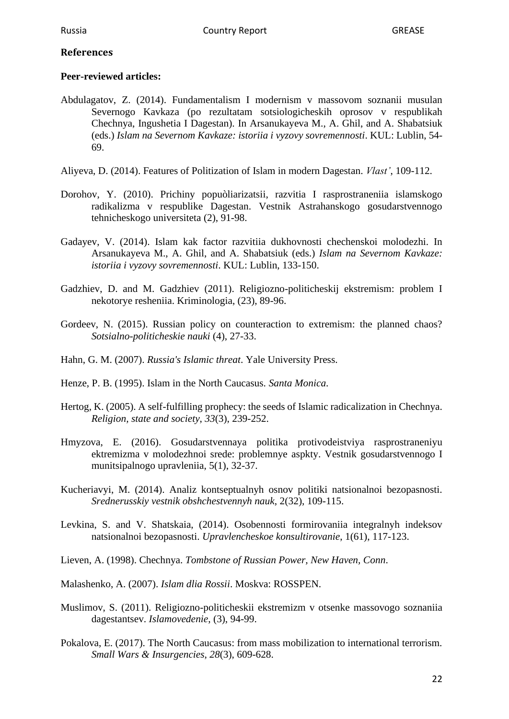#### <span id="page-21-0"></span>**References**

#### **Peer-reviewed articles:**

- Abdulagatov, Z. (2014). Fundamentalism I modernism v massovom soznanii musulan Severnogo Kavkaza (po rezultatam sotsiologicheskih oprosov v respublikah Chechnya, Ingushetia I Dagestan). In Arsanukayeva M., A. Ghil, and A. Shabatsiuk (eds.) *Islam na Severnom Kavkaze: istoriia i vyzovy sovremennosti*. KUL: Lublin, 54- 69.
- Aliyeva, D. (2014). Features of Politization of Islam in modern Dagestan. *Vlast'*, 109-112.
- Dorohov, Y. (2010). Prichiny popuòliarizatsii, razvitia I rasprostraneniia islamskogo radikalizma v respublike Dagestan. Vestnik Astrahanskogo gosudarstvennogo tehnicheskogo universiteta (2), 91-98.
- Gadayev, V. (2014). Islam kak factor razvitiia dukhovnosti chechenskoi molodezhi. In Arsanukayeva M., A. Ghil, and A. Shabatsiuk (eds.) *Islam na Severnom Kavkaze: istoriia i vyzovy sovremennosti*. KUL: Lublin, 133-150.
- Gadzhiev, D. and M. Gadzhiev (2011). Religiozno-politicheskij ekstremism: problem I nekotorye resheniia. Kriminologia, (23), 89-96.
- Gordeev, N. (2015). Russian policy on counteraction to extremism: the planned chaos? *Sotsialno-politicheskie nauki* (4), 27-33.
- Hahn, G. M. (2007). *Russia's Islamic threat*. Yale University Press.
- Henze, P. B. (1995). Islam in the North Caucasus. *Santa Monica*.
- Hertog, K. (2005). A self-fulfilling prophecy: the seeds of Islamic radicalization in Chechnya. *Religion, state and society*, *33*(3), 239-252.
- Hmyzova, E. (2016). Gosudarstvennaya politika protivodeistviya rasprostraneniyu ektremizma v molodezhnoi srede: problemnye aspkty. Vestnik gosudarstvennogo I munitsipalnogo upravleniia, 5(1), 32-37.
- Kucheriavyi, M. (2014). Analiz kontseptualnyh osnov politiki natsionalnoi bezopasnosti. *Srednerusskiy vestnik obshchestvennyh nauk*, 2(32), 109-115.
- Levkina, S. and V. Shatskaia, (2014). Osobennosti formirovaniia integralnyh indeksov natsionalnoi bezopasnosti. *Upravlencheskoe konsultirovanie*, 1(61), 117-123.
- Lieven, A. (1998). Chechnya. *Tombstone of Russian Power, New Haven, Conn*.

Malashenko, A. (2007). *Islam dlia Rossii*. Moskva: ROSSPEN.

- Muslimov, S. (2011). Religiozno-politicheskii ekstremizm v otsenke massovogo soznaniia dagestantsev. *Islamovedenie*, (3), 94-99.
- Pokalova, E. (2017). The North Caucasus: from mass mobilization to international terrorism. *Small Wars & Insurgencies*, *28*(3), 609-628.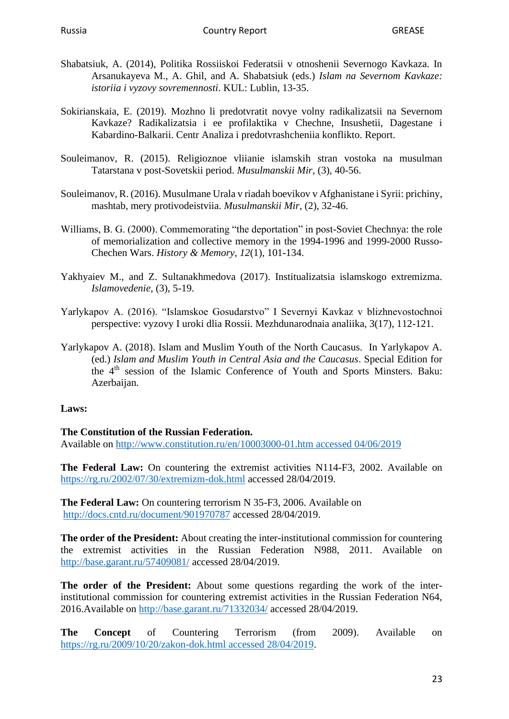- Shabatsiuk, A. (2014), Politika Rossiiskoi Federatsii v otnoshenii Severnogo Kavkaza. In Arsanukayeva M., A. Ghil, and A. Shabatsiuk (eds.) *Islam na Severnom Kavkaze: istoriia i vyzovy sovremennosti*. KUL: Lublin, 13-35.
- Sokirianskaia, E. (2019). Mozhno li predotvratit novye volny radikalizatsii na Severnom Kavkaze? Radikalizatsia i ee profilaktika v Chechne, Insushetii, Dagestane i Kabardino-Balkarii. Centr Analiza i predotvrashcheniia konflikto. Report.
- Souleimanov, R. (2015). Religioznoe vliianie islamskih stran vostoka na musulman Tatarstana v post-Sovetskii period. *Musulmanskii Mir*, (3), 40-56.
- Souleimanov, R. (2016). Musulmane Urala v riadah boevikov v Afghanistane i Syrii: prichiny, mashtab, mery protivodeistviia. *Musulmanskii Mir*, (2), 32-46.
- Williams, B. G. (2000). Commemorating "the deportation" in post-Soviet Chechnya: the role of memorialization and collective memory in the 1994-1996 and 1999-2000 Russo-Chechen Wars. *History & Memory*, *12*(1), 101-134.
- Yakhyaiev M., and Z. Sultanakhmedova (2017). Institualizatsia islamskogo extremizma. *Islamovedenie*, (3), 5-19.
- Yarlykapov A. (2016). "Islamskoe Gosudarstvo" I Severnyi Kavkaz v blizhnevostochnoi perspective: vyzovy I uroki dlia Rossii. Mezhdunarodnaia analiika, 3(17), 112-121.
- Yarlykapov A. (2018). Islam and Muslim Youth of the North Caucasus. In Yarlykapov A. (ed.) *Islam and Muslim Youth in Central Asia and the Caucasus*. Special Edition for the 4th session of the Islamic Conference of Youth and Sports Minsters. Baku: Azerbaijan.

#### **Laws:**

#### **The Constitution of the Russian Federation.**

Available on [http://www.constitution.ru/en/10003000-01.htm accessed 04/06/2019](http://www.constitution.ru/en/10003000-01.htm%20accessed%2004/06/2019)

**The Federal Law:** On countering the extremist activities N114-F3, 2002. Available on <https://rg.ru/2002/07/30/extremizm-dok.html> accessed 28/04/2019.

**The Federal Law:** On countering terrorism N 35-F3, 2006. Available on <http://docs.cntd.ru/document/901970787> accessed 28/04/2019.

**The order of the President:** About creating the inter-institutional commission for countering the extremist activities in the Russian Federation N988, 2011. Available on <http://base.garant.ru/57409081/> accessed 28/04/2019.

**The order of the President:** About some questions regarding the work of the interinstitutional commission for countering extremist activities in the Russian Federation N64, 2016.Available on<http://base.garant.ru/71332034/> accessed 28/04/2019.

**The Concept** of Countering Terrorism (from 2009). Available on [https://rg.ru/2009/10/20/zakon-dok.html accessed 28/04/2019.](https://rg.ru/2009/10/20/zakon-dok.html%20accessed%2028/04/2019)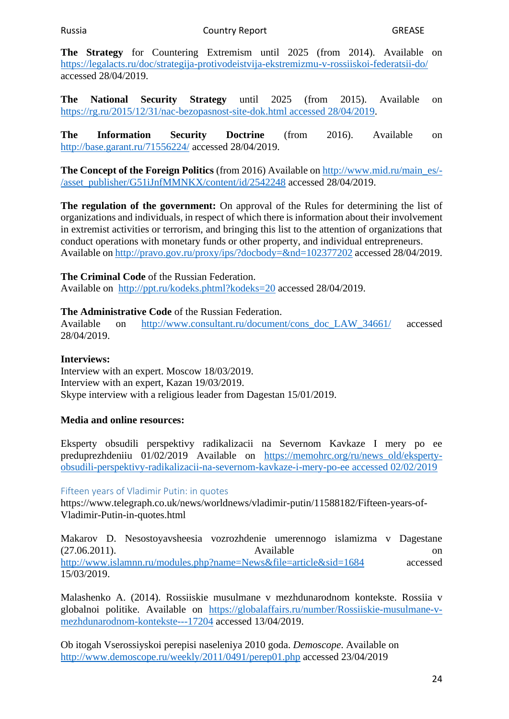**The Strategy** for Countering Extremism until 2025 (from 2014). Available on <https://legalacts.ru/doc/strategija-protivodeistvija-ekstremizmu-v-rossiiskoi-federatsii-do/> accessed 28/04/2019.

**The National Security Strategy** until 2025 (from 2015). Available on [https://rg.ru/2015/12/31/nac-bezopasnost-site-dok.html accessed 28/04/2019.](https://rg.ru/2015/12/31/nac-bezopasnost-site-dok.html%20accessed%2028/04/2019)

**The Information Security Doctrine** (from 2016). Available on <http://base.garant.ru/71556224/> accessed 28/04/2019.

**The Concept of the Foreign Politics** (from 2016) Available on [http://www.mid.ru/main\\_es/-](http://www.mid.ru/main_es/-/asset_publisher/G51iJnfMMNKX/content/id/2542248) [/asset\\_publisher/G51iJnfMMNKX/content/id/2542248](http://www.mid.ru/main_es/-/asset_publisher/G51iJnfMMNKX/content/id/2542248) accessed 28/04/2019.

**The regulation of the government:** On approval of the Rules for determining the list of organizations and individuals, in respect of which there is information about their involvement in extremist activities or terrorism, and bringing this list to the attention of organizations that conduct operations with monetary funds or other property, and individual entrepreneurs. Available on<http://pravo.gov.ru/proxy/ips/?docbody=&nd=102377202> accessed 28/04/2019.

#### **The Criminal Code** of the Russian Federation.

Available on <http://ppt.ru/kodeks.phtml?kodeks=20> accessed 28/04/2019.

#### **The Administrative Code** of the Russian Federation.

Available on [http://www.consultant.ru/document/cons\\_doc\\_LAW\\_34661/](http://www.consultant.ru/document/cons_doc_LAW_34661/) accessed 28/04/2019.

#### **Interviews:**

Interview with an expert. Moscow 18/03/2019. Interview with an expert, Kazan 19/03/2019. Skype interview with a religious leader from Dagestan 15/01/2019.

#### **Media and online resources:**

Eksperty obsudili perspektivy radikalizacii na Severnom Kavkaze I mery po ee preduprezhdeniiu 01/02/2019 Available on [https://memohrc.org/ru/news\\_old/eksperty](https://memohrc.org/ru/news_old/eksperty-obsudili-perspektivy-radikalizacii-na-severnom-kavkaze-i-mery-po-ee%20accessed%2002/02/2019)[obsudili-perspektivy-radikalizacii-na-severnom-kavkaze-i-mery-po-ee accessed 02/02/2019](https://memohrc.org/ru/news_old/eksperty-obsudili-perspektivy-radikalizacii-na-severnom-kavkaze-i-mery-po-ee%20accessed%2002/02/2019)

#### Fifteen years of Vladimir Putin: in quotes

https://www.telegraph.co.uk/news/worldnews/vladimir-putin/11588182/Fifteen-years-of-Vladimir-Putin-in-quotes.html

Makarov D. Nesostoyavsheesia vozrozhdenie umerennogo islamizma v Dagestane (27.06.2011). Available on <http://www.islamnn.ru/modules.php?name=News&file=article&sid=1684> accessed 15/03/2019.

Malashenko A. (2014). Rossiiskie musulmane v mezhdunarodnom kontekste. Rossiia v globalnoi politike. Available on [https://globalaffairs.ru/number/Rossiiskie-musulmane-v](https://globalaffairs.ru/number/Rossiiskie-musulmane-v-mezhdunarodnom-kontekste---17204)[mezhdunarodnom-kontekste---17204](https://globalaffairs.ru/number/Rossiiskie-musulmane-v-mezhdunarodnom-kontekste---17204) accessed 13/04/2019.

Ob itogah Vserossiyskoi perepisi naseleniya 2010 goda. *Demoscope*. Available on <http://www.demoscope.ru/weekly/2011/0491/perep01.php> accessed 23/04/2019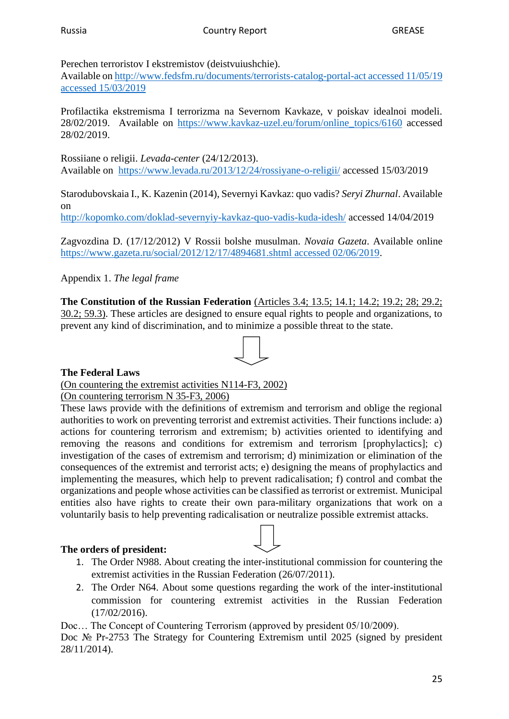#### Perechen terroristov I ekstremistov (deistvuiushchie).

Available on [http://www.fedsfm.ru/documents/terrorists-catalog-portal-act accessed 11/05/19](http://www.fedsfm.ru/documents/terrorists-catalog-portal-act%20accessed%2011/05/19%20accessed%2015/03/2019)  [accessed 15/03/2019](http://www.fedsfm.ru/documents/terrorists-catalog-portal-act%20accessed%2011/05/19%20accessed%2015/03/2019)

Profilactika ekstremisma I terrorizma na Severnom Kavkaze, v poiskav idealnoi modeli. 28/02/2019. Available on [https://www.kavkaz-uzel.eu/forum/online\\_topics/6160](https://www.kavkaz-uzel.eu/forum/online_topics/6160) accessed 28/02/2019.

Rossiiane o religii. *Levada-center* (24/12/2013). Available on <https://www.levada.ru/2013/12/24/rossiyane-o-religii/> accessed 15/03/2019

Starodubovskaia I., K. Kazenin (2014), Severnyi Kavkaz: quo vadis? *Seryi Zhurnal*. Available on

<http://kopomko.com/doklad-severnyiy-kavkaz-quo-vadis-kuda-idesh/> accessed 14/04/2019

Zagvozdina D. (17/12/2012) V Rossii bolshe musulman. *Novaia Gazeta*. Available online [https://www.gazeta.ru/social/2012/12/17/4894681.shtml accessed 02/06/2019.](https://www.gazeta.ru/social/2012/12/17/4894681.shtml%20accessed%2002/06/2019)

Appendix 1. *The legal frame* 

**The Constitution of the Russian Federation** (Articles 3.4; 13.5; 14.1; 14.2; 19.2; 28; 29.2; 30.2; 59.3). These articles are designed to ensure equal rights to people and organizations, to prevent any kind of discrimination, and to minimize a possible threat to the state.

#### **The Federal Laws**

(On countering the extremist activities N114-F3, 2002)

(On countering terrorism N 35-F3, 2006)

These laws provide with the definitions of extremism and terrorism and oblige the regional authorities to work on preventing terrorist and extremist activities. Their functions include: a) actions for countering terrorism and extremism; b) activities oriented to identifying and removing the reasons and conditions for extremism and terrorism [prophylactics]; c) investigation of the cases of extremism and terrorism; d) minimization or elimination of the consequences of the extremist and terrorist acts; e) designing the means of prophylactics and implementing the measures, which help to prevent radicalisation; f) control and combat the organizations and people whose activities can be classified as terrorist or extremist. Municipal entities also have rights to create their own para-military organizations that work on a voluntarily basis to help preventing radicalisation or neutralize possible extremist attacks.

#### **The orders of president:**

- 1. The Order N988. About creating the inter-institutional commission for countering the extremist activities in the Russian Federation (26/07/2011).
- 2. The Order N64. About some questions regarding the work of the inter-institutional commission for countering extremist activities in the Russian Federation (17/02/2016).

Doc… The Concept of Countering Terrorism (approved by president 05/10/2009).

Doc № Pr-2753 The Strategy for Countering Extremism until 2025 (signed by president 28/11/2014).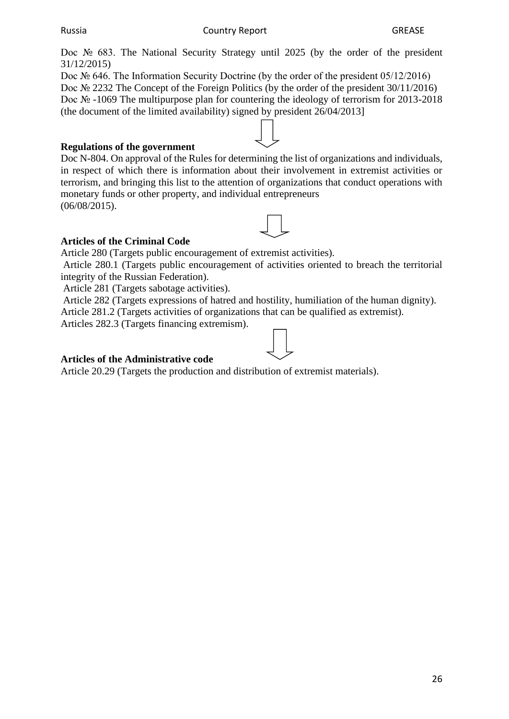Russia Country Report GREASE

Doc № 683. The National Security Strategy until 2025 (by the order of the president 31/12/2015)

Doc № 646. The Information Security Doctrine (by the order of the president 05/12/2016) Doc № 2232 The Concept of the Foreign Politics (by the order of the president 30/11/2016) Doc N<sup>o</sup> -1069 The multipurpose plan for countering the ideology of terrorism for 2013-2018 (the document of the limited availability) signed by president 26/04/2013]

#### **Regulations of the government**

Doc N-804. On approval of the Rules for determining the list of organizations and individuals, in respect of which there is information about their involvement in extremist activities or terrorism, and bringing this list to the attention of organizations that conduct operations with monetary funds or other property, and individual entrepreneurs (06/08/2015).



#### **Articles of the Criminal Code**

Article 280 (Targets public encouragement of extremist activities).

Article 280.1 (Targets public encouragement of activities oriented to breach the territorial integrity of the Russian Federation).

Article 281 (Targets sabotage activities).

Article 282 (Targets expressions of hatred and hostility, humiliation of the human dignity). Article 281.2 (Targets activities of organizations that can be qualified as extremist).

Articles 282.3 (Targets financing extremism).

#### **Articles of the Administrative code**

Article 20.29 (Targets the production and distribution of extremist materials).